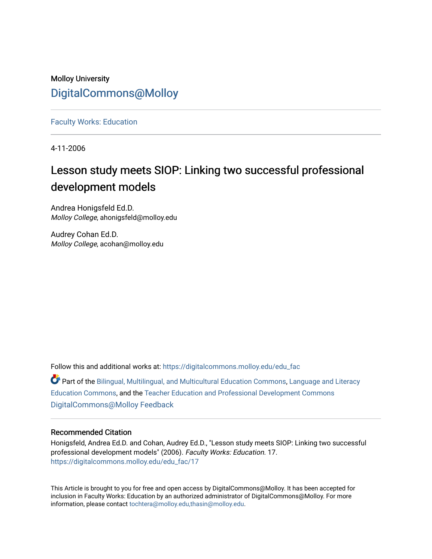# Molloy University [DigitalCommons@Molloy](https://digitalcommons.molloy.edu/)

[Faculty Works: Education](https://digitalcommons.molloy.edu/edu_fac) 

4-11-2006

# Lesson study meets SIOP: Linking two successful professional development models

Andrea Honigsfeld Ed.D. Molloy College, ahonigsfeld@molloy.edu

Audrey Cohan Ed.D. Molloy College, acohan@molloy.edu

Follow this and additional works at: [https://digitalcommons.molloy.edu/edu\\_fac](https://digitalcommons.molloy.edu/edu_fac?utm_source=digitalcommons.molloy.edu%2Fedu_fac%2F17&utm_medium=PDF&utm_campaign=PDFCoverPages)

Part of the [Bilingual, Multilingual, and Multicultural Education Commons,](https://network.bepress.com/hgg/discipline/785?utm_source=digitalcommons.molloy.edu%2Fedu_fac%2F17&utm_medium=PDF&utm_campaign=PDFCoverPages) [Language and Literacy](https://network.bepress.com/hgg/discipline/1380?utm_source=digitalcommons.molloy.edu%2Fedu_fac%2F17&utm_medium=PDF&utm_campaign=PDFCoverPages) [Education Commons,](https://network.bepress.com/hgg/discipline/1380?utm_source=digitalcommons.molloy.edu%2Fedu_fac%2F17&utm_medium=PDF&utm_campaign=PDFCoverPages) and the [Teacher Education and Professional Development Commons](https://network.bepress.com/hgg/discipline/803?utm_source=digitalcommons.molloy.edu%2Fedu_fac%2F17&utm_medium=PDF&utm_campaign=PDFCoverPages) [DigitalCommons@Molloy Feedback](https://molloy.libwizard.com/f/dcfeedback)

# Recommended Citation

Honigsfeld, Andrea Ed.D. and Cohan, Audrey Ed.D., "Lesson study meets SIOP: Linking two successful professional development models" (2006). Faculty Works: Education. 17. [https://digitalcommons.molloy.edu/edu\\_fac/17](https://digitalcommons.molloy.edu/edu_fac/17?utm_source=digitalcommons.molloy.edu%2Fedu_fac%2F17&utm_medium=PDF&utm_campaign=PDFCoverPages) 

This Article is brought to you for free and open access by DigitalCommons@Molloy. It has been accepted for inclusion in Faculty Works: Education by an authorized administrator of DigitalCommons@Molloy. For more information, please contact [tochtera@molloy.edu,thasin@molloy.edu.](mailto:tochtera@molloy.edu,thasin@molloy.edu)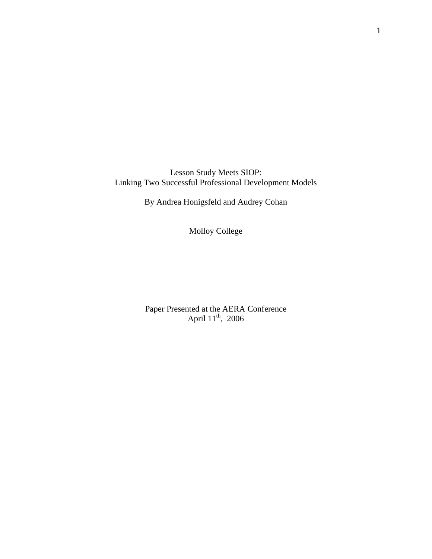Lesson Study Meets SIOP: Linking Two Successful Professional Development Models

By Andrea Honigsfeld and Audrey Cohan

Molloy College

Paper Presented at the AERA Conference April  $11^{th}$ , 2006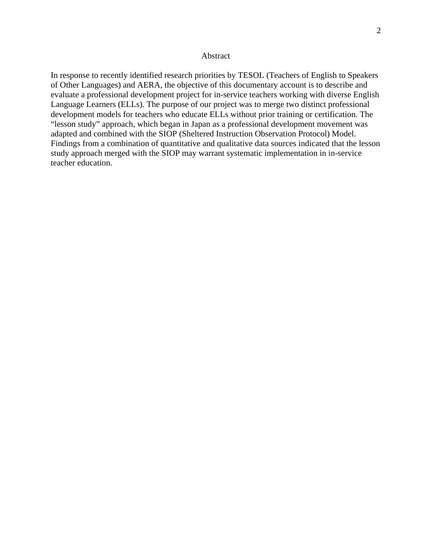## Abstract

In response to recently identified research priorities by TESOL (Teachers of English to Speakers of Other Languages) and AERA, the objective of this documentary account is to describe and evaluate a professional development project for in-service teachers working with diverse English Language Learners (ELLs). The purpose of our project was to merge two distinct professional development models for teachers who educate ELLs without prior training or certification. The "lesson study" approach, which began in Japan as a professional development movement was adapted and combined with the SIOP (Sheltered Instruction Observation Protocol) Model. Findings from a combination of quantitative and qualitative data sources indicated that the lesson study approach merged with the SIOP may warrant systematic implementation in in-service teacher education.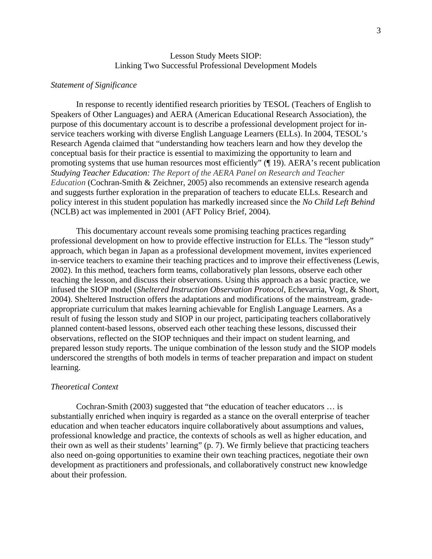# Lesson Study Meets SIOP: Linking Two Successful Professional Development Models

# *Statement of Significance*

In response to recently identified research priorities by TESOL (Teachers of English to Speakers of Other Languages) and AERA (American Educational Research Association), the purpose of this documentary account is to describe a professional development project for inservice teachers working with diverse English Language Learners (ELLs). In 2004, TESOL's Research Agenda claimed that "understanding how teachers learn and how they develop the conceptual basis for their practice is essential to maximizing the opportunity to learn and promoting systems that use human resources most efficiently" (¶ 19). AERA's recent publication *Studying Teacher Education: The Report of the AERA Panel on Research and Teacher Education* (Cochran-Smith & Zeichner, 2005) also recommends an extensive research agenda and suggests further exploration in the preparation of teachers to educate ELLs. Research and policy interest in this student population has markedly increased since the *No Child Left Behind* (NCLB) act was implemented in 2001 (AFT Policy Brief, 2004).

This documentary account reveals some promising teaching practices regarding professional development on how to provide effective instruction for ELLs. The "lesson study" approach, which began in Japan as a professional development movement, invites experienced in-service teachers to examine their teaching practices and to improve their effectiveness (Lewis, 2002). In this method, teachers form teams, collaboratively plan lessons, observe each other teaching the lesson, and discuss their observations. Using this approach as a basic practice, we infused the SIOP model (*Sheltered Instruction Observation Protocol*, Echevarria, Vogt, & Short, 2004). Sheltered Instruction offers the adaptations and modifications of the mainstream, gradeappropriate curriculum that makes learning achievable for English Language Learners. As a result of fusing the lesson study and SIOP in our project, participating teachers collaboratively planned content-based lessons, observed each other teaching these lessons, discussed their observations, reflected on the SIOP techniques and their impact on student learning, and prepared lesson study reports. The unique combination of the lesson study and the SIOP models underscored the strengths of both models in terms of teacher preparation and impact on student learning.

# *Theoretical Context*

Cochran-Smith (2003) suggested that "the education of teacher educators … is substantially enriched when inquiry is regarded as a stance on the overall enterprise of teacher education and when teacher educators inquire collaboratively about assumptions and values, professional knowledge and practice, the contexts of schools as well as higher education, and their own as well as their students' learning" (p. 7). We firmly believe that practicing teachers also need on-going opportunities to examine their own teaching practices, negotiate their own development as practitioners and professionals, and collaboratively construct new knowledge about their profession.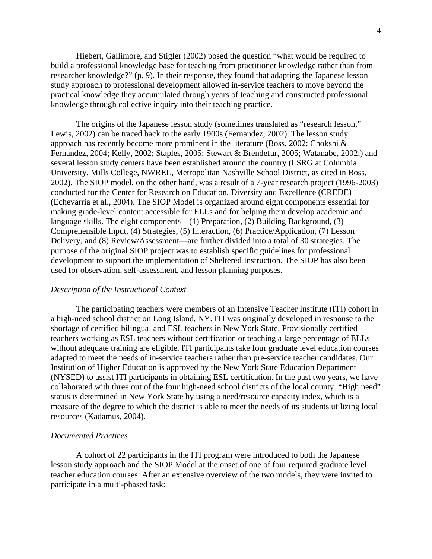Hiebert, Gallimore, and Stigler (2002) posed the question "what would be required to build a professional knowledge base for teaching from practitioner knowledge rather than from researcher knowledge?" (p. 9). In their response, they found that adapting the Japanese lesson study approach to professional development allowed in-service teachers to move beyond the practical knowledge they accumulated through years of teaching and constructed professional knowledge through collective inquiry into their teaching practice.

The origins of the Japanese lesson study (sometimes translated as "research lesson," Lewis, 2002) can be traced back to the early 1900s (Fernandez, 2002). The lesson study approach has recently become more prominent in the literature (Boss, 2002; Chokshi & Fernandez, 2004; Kelly, 2002; Staples, 2005; Stewart & Brendefur, 2005; Watanabe, 2002;) and several lesson study centers have been established around the country (LSRG at Columbia University, Mills College, NWREL, Metropolitan Nashville School District, as cited in Boss, 2002). The SIOP model, on the other hand, was a result of a 7-year research project (1996-2003) conducted for the Center for Research on Education, Diversity and Excellence (CREDE) (Echevarria et al., 2004). The SIOP Model is organized around eight components essential for making grade-level content accessible for ELLs and for helping them develop academic and language skills. The eight components—(1) Preparation, (2) Building Background, (3) Comprehensible Input, (4) Strategies, (5) Interaction, (6) Practice/Application, (7) Lesson Delivery, and (8) Review/Assessment—are further divided into a total of 30 strategies. The purpose of the original SIOP project was to establish specific guidelines for professional development to support the implementation of Sheltered Instruction. The SIOP has also been used for observation, self-assessment, and lesson planning purposes.

#### *Description of the Instructional Context*

The participating teachers were members of an Intensive Teacher Institute (ITI) cohort in a high-need school district on Long Island, NY. ITI was originally developed in response to the shortage of certified bilingual and ESL teachers in New York State. Provisionally certified teachers working as ESL teachers without certification or teaching a large percentage of ELLs without adequate training are eligible. ITI participants take four graduate level education courses adapted to meet the needs of in-service teachers rather than pre-service teacher candidates. Our Institution of Higher Education is approved by the New York State Education Department (NYSED) to assist ITI participants in obtaining ESL certification. In the past two years, we have collaborated with three out of the four high-need school districts of the local county. "High need" status is determined in New York State by using a need/resource capacity index, which is a measure of the degree to which the district is able to meet the needs of its students utilizing local resources (Kadamus, 2004).

# *Documented Practices*

A cohort of 22 participants in the ITI program were introduced to both the Japanese lesson study approach and the SIOP Model at the onset of one of four required graduate level teacher education courses. After an extensive overview of the two models, they were invited to participate in a multi-phased task: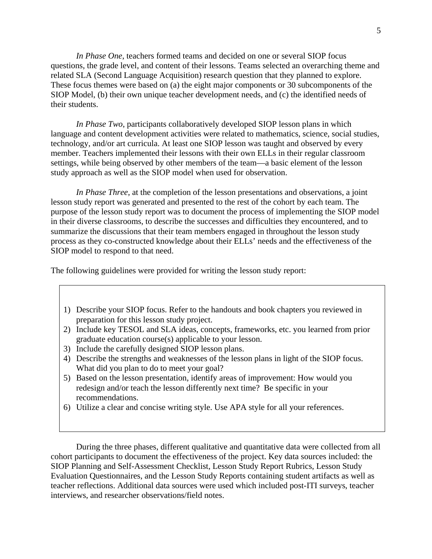*In Phase One*, teachers formed teams and decided on one or several SIOP focus questions, the grade level, and content of their lessons. Teams selected an overarching theme and related SLA (Second Language Acquisition) research question that they planned to explore. These focus themes were based on (a) the eight major components or 30 subcomponents of the SIOP Model, (b) their own unique teacher development needs, and (c) the identified needs of their students.

 *In Phase Two*, participants collaboratively developed SIOP lesson plans in which language and content development activities were related to mathematics, science, social studies, technology, and/or art curricula. At least one SIOP lesson was taught and observed by every member. Teachers implemented their lessons with their own ELLs in their regular classroom settings, while being observed by other members of the team—a basic element of the lesson study approach as well as the SIOP model when used for observation.

 *In Phase Three*, at the completion of the lesson presentations and observations, a joint lesson study report was generated and presented to the rest of the cohort by each team. The purpose of the lesson study report was to document the process of implementing the SIOP model in their diverse classrooms, to describe the successes and difficulties they encountered, and to summarize the discussions that their team members engaged in throughout the lesson study process as they co-constructed knowledge about their ELLs' needs and the effectiveness of the SIOP model to respond to that need.

The following guidelines were provided for writing the lesson study report:

- 1) Describe your SIOP focus. Refer to the handouts and book chapters you reviewed in preparation for this lesson study project.
- 2) Include key TESOL and SLA ideas, concepts, frameworks, etc. you learned from prior graduate education course(s) applicable to your lesson.
- 3) Include the carefully designed SIOP lesson plans.
- 4) Describe the strengths and weaknesses of the lesson plans in light of the SIOP focus. What did you plan to do to meet your goal?
- 5) Based on the lesson presentation, identify areas of improvement: How would you redesign and/or teach the lesson differently next time? Be specific in your recommendations.
- 6) Utilize a clear and concise writing style. Use APA style for all your references.

 During the three phases, different qualitative and quantitative data were collected from all cohort participants to document the effectiveness of the project. Key data sources included: the SIOP Planning and Self-Assessment Checklist, Lesson Study Report Rubrics, Lesson Study Evaluation Questionnaires, and the Lesson Study Reports containing student artifacts as well as teacher reflections. Additional data sources were used which included post-ITI surveys, teacher interviews, and researcher observations/field notes.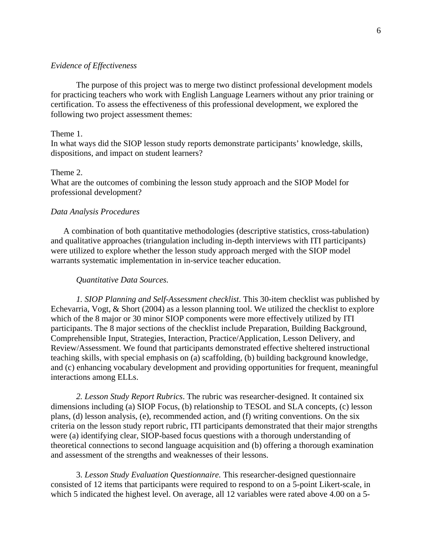# *Evidence of Effectiveness*

The purpose of this project was to merge two distinct professional development models for practicing teachers who work with English Language Learners without any prior training or certification. To assess the effectiveness of this professional development, we explored the following two project assessment themes:

#### Theme 1.

In what ways did the SIOP lesson study reports demonstrate participants' knowledge, skills, dispositions, and impact on student learners?

#### Theme 2.

What are the outcomes of combining the lesson study approach and the SIOP Model for professional development?

## *Data Analysis Procedures*

 A combination of both quantitative methodologies (descriptive statistics, cross-tabulation) and qualitative approaches (triangulation including in-depth interviews with ITI participants) were utilized to explore whether the lesson study approach merged with the SIOP model warrants systematic implementation in in-service teacher education.

#### *Quantitative Data Sources.*

*1. SIOP Planning and Self-Assessment checklist*. This 30-item checklist was published by Echevarria, Vogt, & Short (2004) as a lesson planning tool. We utilized the checklist to explore which of the 8 major or 30 minor SIOP components were more effectively utilized by ITI participants. The 8 major sections of the checklist include Preparation, Building Background, Comprehensible Input, Strategies, Interaction, Practice/Application, Lesson Delivery, and Review/Assessment. We found that participants demonstrated effective sheltered instructional teaching skills, with special emphasis on (a) scaffolding, (b) building background knowledge, and (c) enhancing vocabulary development and providing opportunities for frequent, meaningful interactions among ELLs.

*2. Lesson Study Report Rubrics*. The rubric was researcher-designed. It contained six dimensions including (a) SIOP Focus, (b) relationship to TESOL and SLA concepts, (c) lesson plans, (d) lesson analysis, (e), recommended action, and (f) writing conventions. On the six criteria on the lesson study report rubric, ITI participants demonstrated that their major strengths were (a) identifying clear, SIOP-based focus questions with a thorough understanding of theoretical connections to second language acquisition and (b) offering a thorough examination and assessment of the strengths and weaknesses of their lessons.

 3. *Lesson Study Evaluation Questionnaire.* This researcher-designed questionnaire consisted of 12 items that participants were required to respond to on a 5-point Likert-scale, in which 5 indicated the highest level. On average, all 12 variables were rated above 4.00 on a 5-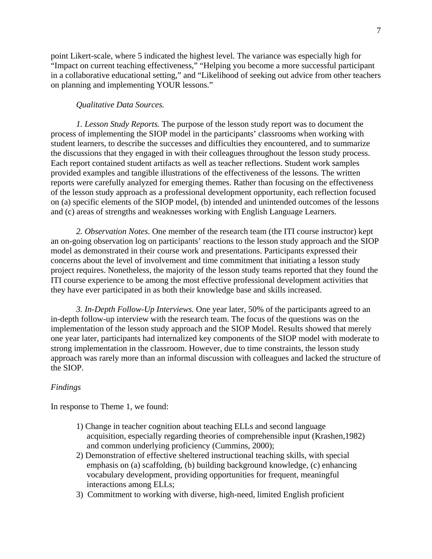point Likert-scale, where 5 indicated the highest level. The variance was especially high for "Impact on current teaching effectiveness," "Helping you become a more successful participant in a collaborative educational setting," and "Likelihood of seeking out advice from other teachers on planning and implementing YOUR lessons."

# *Qualitative Data Sources.*

*1. Lesson Study Reports.* The purpose of the lesson study report was to document the process of implementing the SIOP model in the participants' classrooms when working with student learners, to describe the successes and difficulties they encountered, and to summarize the discussions that they engaged in with their colleagues throughout the lesson study process. Each report contained student artifacts as well as teacher reflections. Student work samples provided examples and tangible illustrations of the effectiveness of the lessons. The written reports were carefully analyzed for emerging themes. Rather than focusing on the effectiveness of the lesson study approach as a professional development opportunity, each reflection focused on (a) specific elements of the SIOP model, (b) intended and unintended outcomes of the lessons and (c) areas of strengths and weaknesses working with English Language Learners.

*2. Observation Notes*. One member of the research team (the ITI course instructor) kept an on-going observation log on participants' reactions to the lesson study approach and the SIOP model as demonstrated in their course work and presentations. Participants expressed their concerns about the level of involvement and time commitment that initiating a lesson study project requires. Nonetheless, the majority of the lesson study teams reported that they found the ITI course experience to be among the most effective professional development activities that they have ever participated in as both their knowledge base and skills increased.

*3. In-Depth Follow-Up Interviews.* One year later, 50% of the participants agreed to an in-depth follow-up interview with the research team. The focus of the questions was on the implementation of the lesson study approach and the SIOP Model. Results showed that merely one year later, participants had internalized key components of the SIOP model with moderate to strong implementation in the classroom. However, due to time constraints, the lesson study approach was rarely more than an informal discussion with colleagues and lacked the structure of the SIOP.

#### *Findings*

In response to Theme 1, we found:

- 1) Change in teacher cognition about teaching ELLs and second language acquisition, especially regarding theories of comprehensible input (Krashen,1982) and common underlying proficiency (Cummins, 2000);
- 2) Demonstration of effective sheltered instructional teaching skills, with special emphasis on (a) scaffolding, (b) building background knowledge, (c) enhancing vocabulary development, providing opportunities for frequent, meaningful interactions among ELLs;
- 3) Commitment to working with diverse, high-need, limited English proficient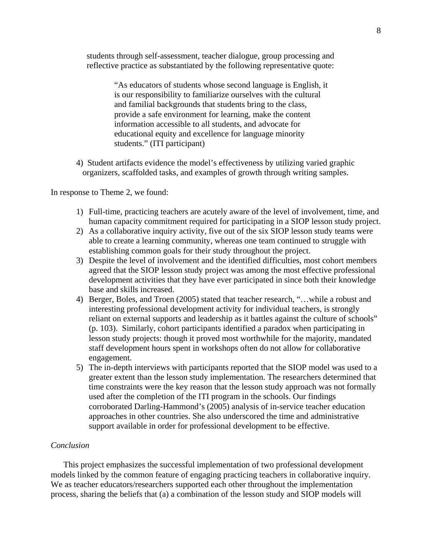students through self-assessment, teacher dialogue, group processing and reflective practice as substantiated by the following representative quote:

> "As educators of students whose second language is English, it is our responsibility to familiarize ourselves with the cultural and familial backgrounds that students bring to the class, provide a safe environment for learning, make the content information accessible to all students, and advocate for educational equity and excellence for language minority students." (ITI participant)

4) Student artifacts evidence the model's effectiveness by utilizing varied graphic organizers, scaffolded tasks, and examples of growth through writing samples.

In response to Theme 2, we found:

- 1) Full-time, practicing teachers are acutely aware of the level of involvement, time, and human capacity commitment required for participating in a SIOP lesson study project.
- 2) As a collaborative inquiry activity, five out of the six SIOP lesson study teams were able to create a learning community, whereas one team continued to struggle with establishing common goals for their study throughout the project.
- 3) Despite the level of involvement and the identified difficulties, most cohort members agreed that the SIOP lesson study project was among the most effective professional development activities that they have ever participated in since both their knowledge base and skills increased.
- 4) Berger, Boles, and Troen (2005) stated that teacher research, "…while a robust and interesting professional development activity for individual teachers, is strongly reliant on external supports and leadership as it battles against the culture of schools" (p. 103). Similarly, cohort participants identified a paradox when participating in lesson study projects: though it proved most worthwhile for the majority, mandated staff development hours spent in workshops often do not allow for collaborative engagement.
- 5) The in-depth interviews with participants reported that the SIOP model was used to a greater extent than the lesson study implementation. The researchers determined that time constraints were the key reason that the lesson study approach was not formally used after the completion of the ITI program in the schools. Our findings corroborated Darling-Hammond's (2005) analysis of in-service teacher education approaches in other countries. She also underscored the time and administrative support available in order for professional development to be effective.

#### *Conclusion*

 This project emphasizes the successful implementation of two professional development models linked by the common feature of engaging practicing teachers in collaborative inquiry. We as teacher educators/researchers supported each other throughout the implementation process, sharing the beliefs that (a) a combination of the lesson study and SIOP models will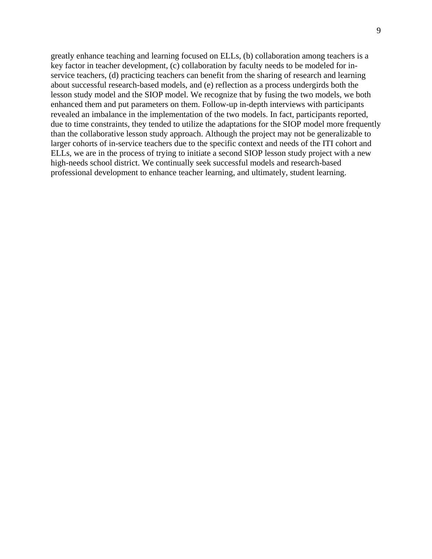greatly enhance teaching and learning focused on ELLs, (b) collaboration among teachers is a key factor in teacher development, (c) collaboration by faculty needs to be modeled for inservice teachers, (d) practicing teachers can benefit from the sharing of research and learning about successful research-based models, and (e) reflection as a process undergirds both the lesson study model and the SIOP model. We recognize that by fusing the two models, we both enhanced them and put parameters on them. Follow-up in-depth interviews with participants revealed an imbalance in the implementation of the two models. In fact, participants reported, due to time constraints, they tended to utilize the adaptations for the SIOP model more frequently than the collaborative lesson study approach. Although the project may not be generalizable to larger cohorts of in-service teachers due to the specific context and needs of the ITI cohort and ELLs, we are in the process of trying to initiate a second SIOP lesson study project with a new high-needs school district. We continually seek successful models and research-based professional development to enhance teacher learning, and ultimately, student learning.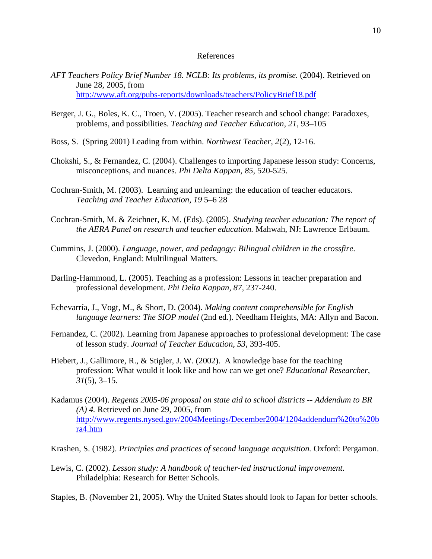#### References

- *AFT Teachers Policy Brief Number 18. NCLB: Its problems, its promise.* (2004). Retrieved on June 28, 2005, from <http://www.aft.org/pubs-reports/downloads/teachers/PolicyBrief18.pdf>
- Berger, J. G., Boles, K. C., Troen, V. (2005). Teacher research and school change: Paradoxes, problems, and possibilities. *Teaching and Teacher Education, 21,* 93–105
- Boss, S. (Spring 2001) Leading from within. *Northwest Teacher, 2*(2), 12-16.
- Chokshi, S., & Fernandez, C. (2004). Challenges to importing Japanese lesson study: Concerns, misconceptions, and nuances. *Phi Delta Kappan, 85,* 520-525.
- Cochran-Smith, M. (2003). Learning and unlearning: the education of teacher educators. *Teaching and Teacher Education, 19* 5–6 28
- Cochran-Smith, M. & Zeichner, K. M. (Eds). (2005). *Studying teacher education: The report of the AERA Panel on research and teacher education.* Mahwah, NJ: Lawrence Erlbaum.
- Cummins, J. (2000). *Language, power, and pedagogy: Bilingual children in the crossfire*. Clevedon, England: Multilingual Matters.
- Darling-Hammond, L. (2005). Teaching as a profession: Lessons in teacher preparation and professional development. *Phi Delta Kappan, 87,* 237-240.
- Echevarría, J., Vogt, M., & Short, D. (2004). *Making content comprehensible for English language learners: The SIOP model* (2nd ed.)*.* Needham Heights, MA: Allyn and Bacon.
- Fernandez, C. (2002). Learning from Japanese approaches to professional development: The case of lesson study. *Journal of Teacher Education, 53*, 393-405.
- Hiebert, J., Gallimore, R., & Stigler, J. W. (2002). A knowledge base for the teaching profession: What would it look like and how can we get one? *Educational Researcher, 31*(5), 3–15.
- Kadamus (2004). *Regents 2005-06 proposal on state aid to school districts -- Addendum to BR (A) 4.* Retrieved on June 29, 2005, from [http://www.regents.nysed.gov/2004Meetings/December2004/1204addendum%20to%20b](http://www.regents.nysed.gov/2004Meetings/December2004/1204addendum%20to%20bra4.htm) [ra4.htm](http://www.regents.nysed.gov/2004Meetings/December2004/1204addendum%20to%20bra4.htm)
- Krashen, S. (1982). *Principles and practices of second language acquisition.* Oxford: Pergamon.
- Lewis, C. (2002). *Lesson study: A handbook of teacher-led instructional improvement.* Philadelphia: Research for Better Schools.
- Staples, B. (November 21, 2005). Why the United States should look to Japan for better schools.